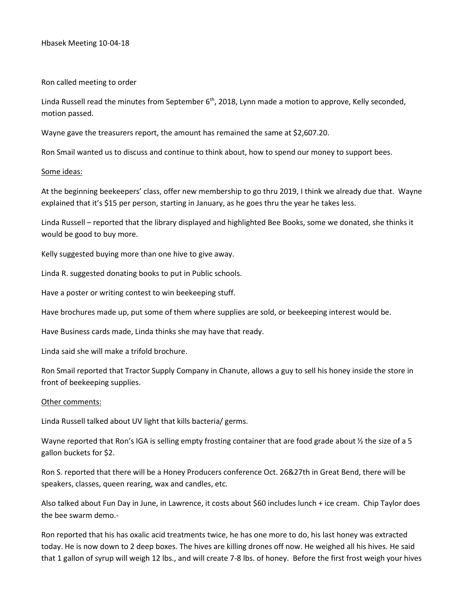## Ron called meeting to order

Linda Russell read the minutes from September 6<sup>th</sup>, 2018, Lynn made a motion to approve, Kelly seconded, motion passed.

Wayne gave the treasurers report, the amount has remained the same at \$2,607.20.

Ron Smail wanted us to discuss and continue to think about, how to spend our money to support bees.

## Some ideas:

At the beginning beekeepers' class, offer new membership to go thru 2019, I think we already due that. Wayne explained that it's \$15 per person, starting in January, as he goes thru the year he takes less.

Linda Russell – reported that the library displayed and highlighted Bee Books, some we donated, she thinks it would be good to buy more.

Kelly suggested buying more than one hive to give away.

Linda R. suggested donating books to put in Public schools.

Have a poster or writing contest to win beekeeping stuff.

Have brochures made up, put some of them where supplies are sold, or beekeeping interest would be.

Have Business cards made, Linda thinks she may have that ready.

Linda said she will make a trifold brochure.

Ron Smail reported that Tractor Supply Company in Chanute, allows a guy to sell his honey inside the store in front of beekeeping supplies.

## Other comments:

Linda Russell talked about UV light that kills bacteria/ germs.

Wayne reported that Ron's IGA is selling empty frosting container that are food grade about  $\frac{1}{2}$  the size of a 5 gallon buckets for \$2.

Ron S. reported that there will be a Honey Producers conference Oct. 26&27th in Great Bend, there will be speakers, classes, queen rearing, wax and candles, etc.

Also talked about Fun Day in June, in Lawrence, it costs about \$60 includes lunch + ice cream. Chip Taylor does the bee swarm demo.-

Ron reported that his has oxalic acid treatments twice, he has one more to do, his last honey was extracted today. He is now down to 2 deep boxes. The hives are killing drones off now. He weighed all his hives. He said that 1 gallon of syrup will weigh 12 lbs., and will create 7-8 lbs. of honey. Before the first frost weigh your hives